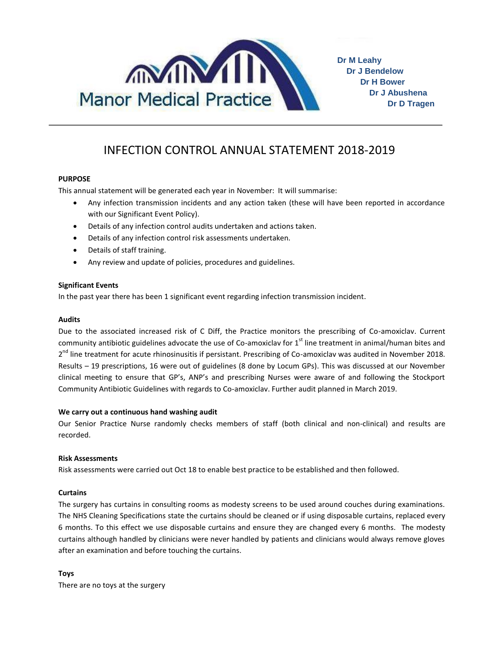

**Dr M Leahy Dr J Bendelow Dr H Bower Dr J Abushena Dr D Tragen**

# INFECTION CONTROL ANNUAL STATEMENT 2018-2019

# **PURPOSE**

This annual statement will be generated each year in November: It will summarise:

- Any infection transmission incidents and any action taken (these will have been reported in accordance with our Significant Event Policy).
- Details of any infection control audits undertaken and actions taken.
- Details of any infection control risk assessments undertaken.
- Details of staff training.
- Any review and update of policies, procedures and guidelines.

### **Significant Events**

In the past year there has been 1 significant event regarding infection transmission incident.

#### **Audits**

Due to the associated increased risk of C Diff, the Practice monitors the prescribing of Co-amoxiclav. Current community antibiotic guidelines advocate the use of Co-amoxiclav for  $1<sup>st</sup>$  line treatment in animal/human bites and 2<sup>nd</sup> line treatment for acute rhinosinusitis if persistant. Prescribing of Co-amoxiclav was audited in November 2018. Results – 19 prescriptions, 16 were out of guidelines (8 done by Locum GPs). This was discussed at our November clinical meeting to ensure that GP's, ANP's and prescribing Nurses were aware of and following the Stockport Community Antibiotic Guidelines with regards to Co-amoxiclav. Further audit planned in March 2019.

#### **We carry out a continuous hand washing audit**

Our Senior Practice Nurse randomly checks members of staff (both clinical and non-clinical) and results are recorded.

#### **Risk Assessments**

Risk assessments were carried out Oct 18 to enable best practice to be established and then followed.

## **Curtains**

The surgery has curtains in consulting rooms as modesty screens to be used around couches during examinations. The NHS Cleaning Specifications state the curtains should be cleaned or if using disposable curtains, replaced every 6 months. To this effect we use disposable curtains and ensure they are changed every 6 months. The modesty curtains although handled by clinicians were never handled by patients and clinicians would always remove gloves after an examination and before touching the curtains.

# **Toys**

There are no toys at the surgery